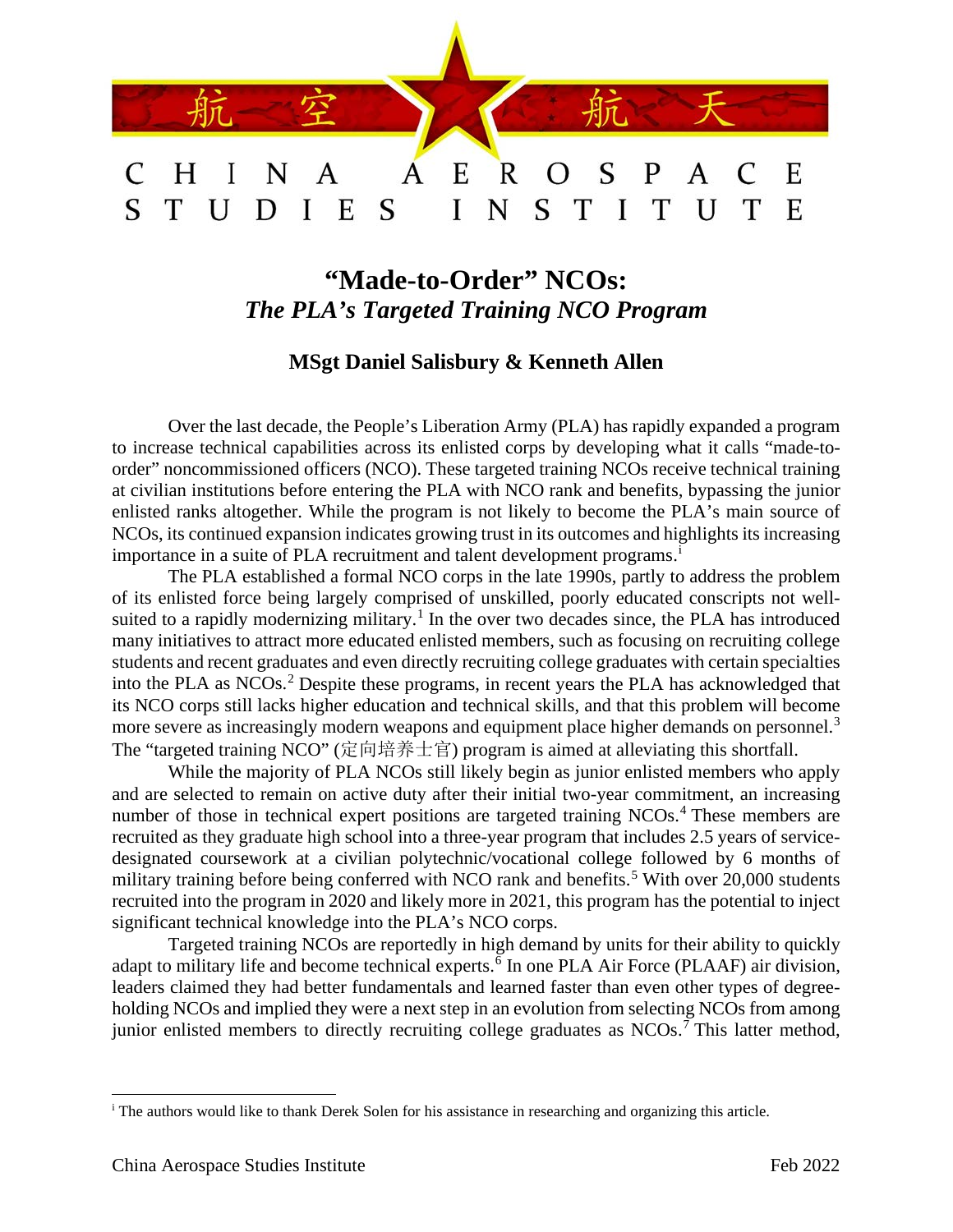

# **"Made-to-Order" NCOs:** *The PLA's Targeted Training NCO Program*

# **MSgt Daniel Salisbury & Kenneth Allen**

Over the last decade, the People's Liberation Army (PLA) has rapidly expanded a program to increase technical capabilities across its enlisted corps by developing what it calls "made-toorder" noncommissioned officers (NCO). These targeted training NCOs receive technical training at civilian institutions before entering the PLA with NCO rank and benefits, bypassing the junior enlisted ranks altogether. While the program is not likely to become the PLA's main source of NCOs, its continued expansion indicates growing trust in its outcomes and highlights its increasing [i](#page-0-0)mportance in a suite of PLA recruitment and talent development programs.<sup>i</sup>

The PLA established a formal NCO corps in the late 1990s, partly to address the problem of its enlisted force being largely comprised of unskilled, poorly educated conscripts not well-suited to a rapidly modernizing military.<sup>[1](#page-10-0)</sup> In the over two decades since, the PLA has introduced many initiatives to attract more educated enlisted members, such as focusing on recruiting college students and recent graduates and even directly recruiting college graduates with certain specialties into the PLA as NCOs. [2](#page-10-1) Despite these programs, in recent years the PLA has acknowledged that its NCO corps still lacks higher education and technical skills, and that this problem will become more severe as increasingly modern weapons and equipment place higher demands on personnel.<sup>[3](#page-10-2)</sup> The "targeted training NCO" (定向培养士官) program is aimed at alleviating this shortfall.

While the majority of PLA NCOs still likely begin as junior enlisted members who apply and are selected to remain on active duty after their initial two-year commitment, an increasing number of those in technical expert positions are targeted training NCOs.<sup>[4](#page-10-3)</sup> These members are recruited as they graduate high school into a three-year program that includes 2.5 years of servicedesignated coursework at a civilian polytechnic/vocational college followed by 6 months of military training before being conferred with NCO rank and benefits.<sup>[5](#page-10-4)</sup> With over 20,000 students recruited into the program in 2020 and likely more in 2021, this program has the potential to inject significant technical knowledge into the PLA's NCO corps.

Targeted training NCOs are reportedly in high demand by units for their ability to quickly adapt to military life and become technical experts.<sup>[6](#page-10-5)</sup> In one PLA Air Force (PLAAF) air division, leaders claimed they had better fundamentals and learned faster than even other types of degreeholding NCOs and implied they were a next step in an evolution from selecting NCOs from among junior enlisted members to directly recruiting college graduates as NCOs.<sup>[7](#page-10-6)</sup> This latter method,

<span id="page-0-0"></span><sup>&</sup>lt;sup>i</sup> The authors would like to thank Derek Solen for his assistance in researching and organizing this article.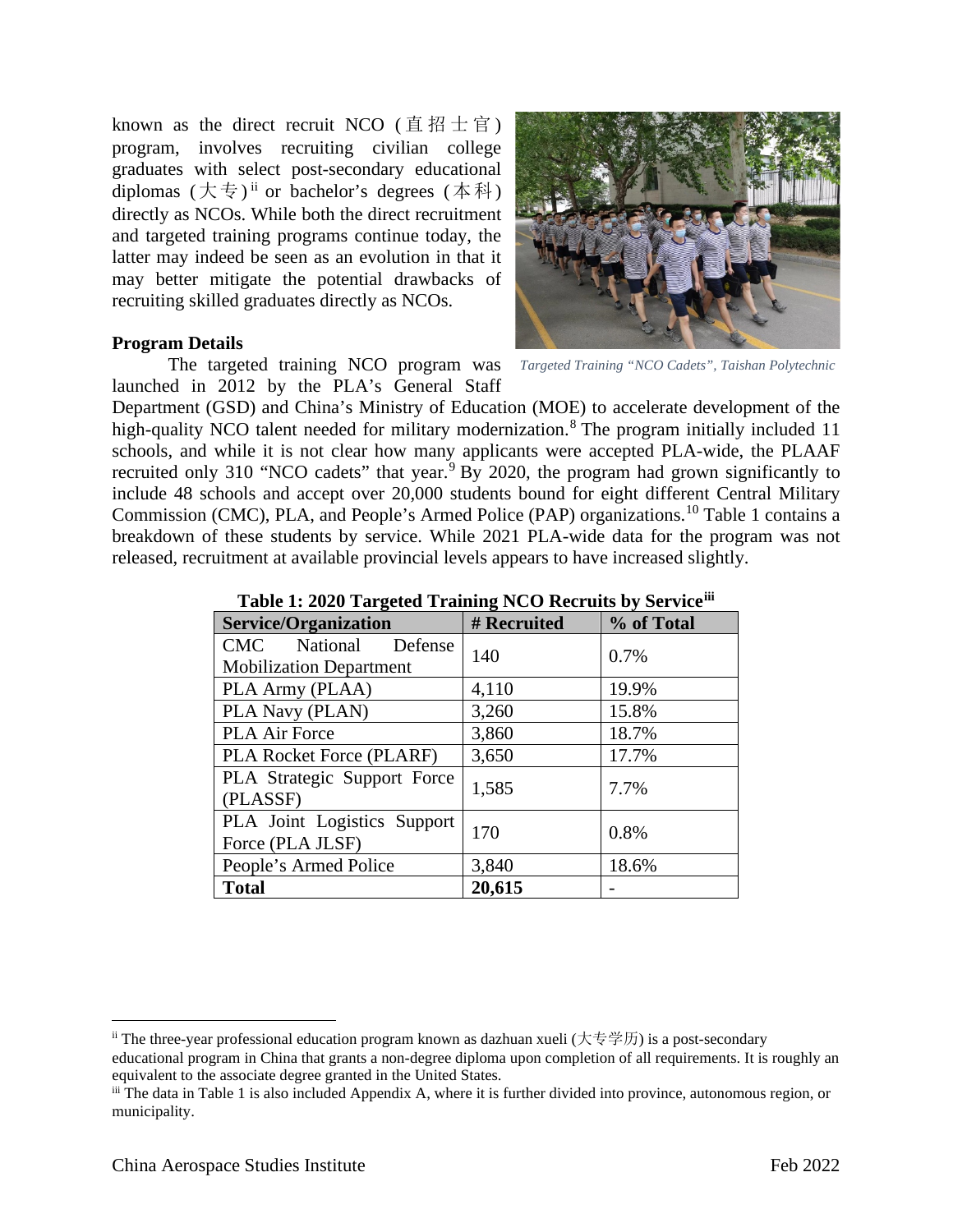known as the direct recruit NCO (直招士官) program, involves recruiting civilian college graduates with select post-secondary educational diplomas  $(\nabla \overline{\xi})^{\text{ii}}$  $(\nabla \overline{\xi})^{\text{ii}}$  $(\nabla \overline{\xi})^{\text{ii}}$  or bachelor's degrees  $(\nabla \overline{\xi})^{\text{ii}}$ directly as NCOs. While both the direct recruitment and targeted training programs continue today, the latter may indeed be seen as an evolution in that it may better mitigate the potential drawbacks of recruiting skilled graduates directly as NCOs.

## **Program Details**

The targeted training NCO program was *Targeted Training "NCO Cadets", Taishan Polytechnic*launched in 2012 by the PLA's General Staff

Department (GSD) and China's Ministry of Education (MOE) to accelerate development of the high-quality NCO talent needed for military modernization.<sup>[8](#page-11-0)</sup> The program initially included 11 schools, and while it is not clear how many applicants were accepted PLA-wide, the PLAAF recruited only 310 "NCO cadets" that year.<sup>[9](#page-11-1)</sup> By 2020, the program had grown significantly to include 48 schools and accept over 20,000 students bound for eight different Central Military Commission (CMC), PLA, and People's Armed Police (PAP) organizations.<sup>[10](#page-11-2)</sup> Table 1 contains a breakdown of these students by service. While 2021 PLA-wide data for the program was not released, recruitment at available provincial levels appears to have increased slightly.

| <b>Service/Organization</b>                     | # Recruited | % of Total |  |
|-------------------------------------------------|-------------|------------|--|
| <b>CMC</b><br>National<br>Defense               | 140         | 0.7%       |  |
| <b>Mobilization Department</b>                  |             |            |  |
| PLA Army (PLAA)                                 | 4,110       | 19.9%      |  |
| PLA Navy (PLAN)                                 | 3,260       | 15.8%      |  |
| <b>PLA Air Force</b>                            | 3,860       | 18.7%      |  |
| <b>PLA Rocket Force (PLARF)</b>                 | 3,650       | 17.7%      |  |
| PLA Strategic Support Force<br>(PLASSF)         | 1,585       | 7.7%       |  |
| PLA Joint Logistics Support<br>Force (PLA JLSF) | 170         | 0.8%       |  |
| People's Armed Police                           | 3,840       | 18.6%      |  |

**Total 20,615** -

| Table 1: 2020 Targeted Training NCO Recruits by Serviceiii |
|------------------------------------------------------------|
|------------------------------------------------------------|



<span id="page-1-0"></span><sup>&</sup>lt;sup>ii</sup> The three-year professional education program known as dazhuan xueli (大专学历) is a post-secondary educational program in China that grants a non-degree diploma upon completion of all requirements. It is roughly an equivalent to the associate degree granted in the United States.

<span id="page-1-1"></span>iii The data in Table 1 is also included Appendix A, where it is further divided into province, autonomous region, or municipality.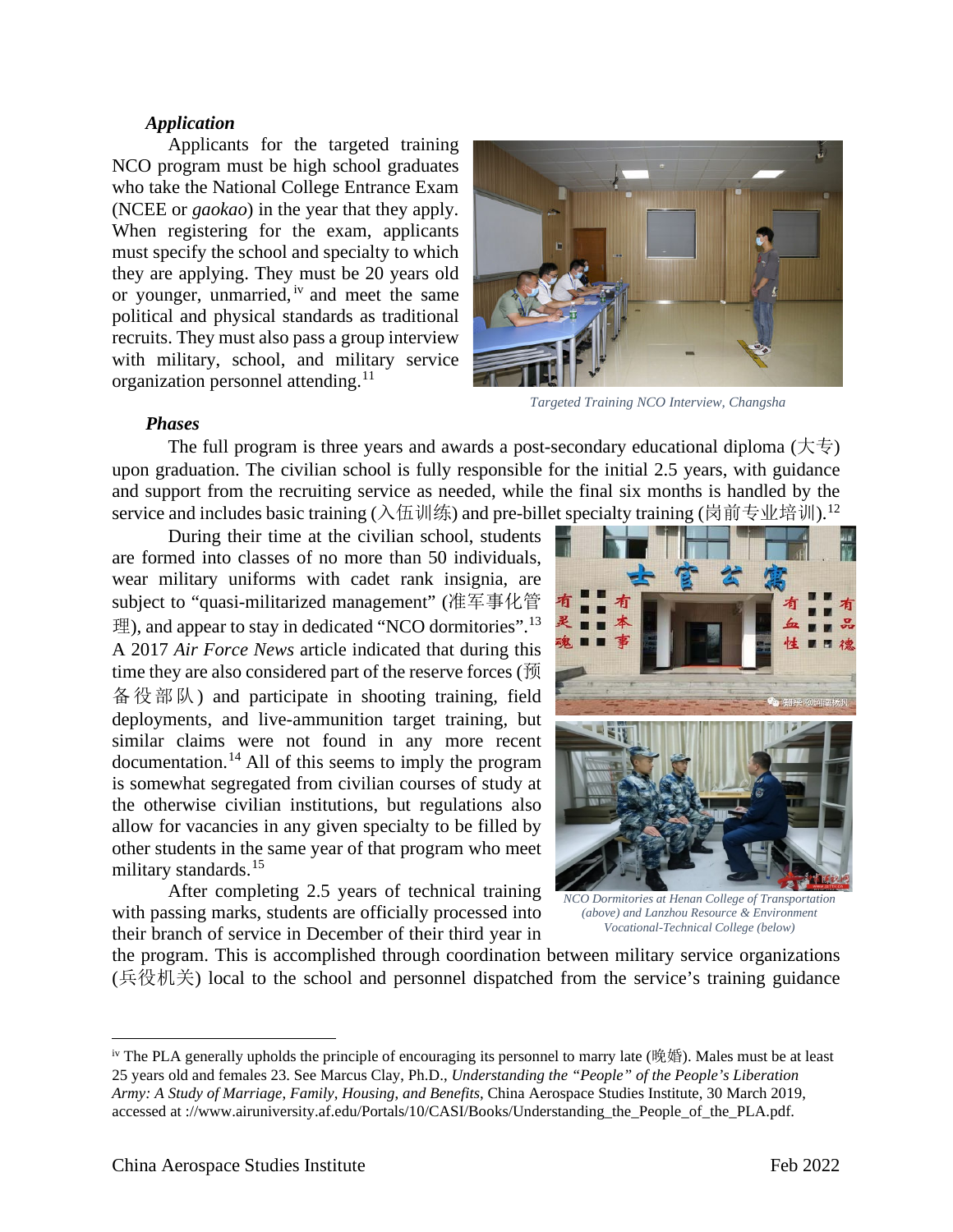#### *Application*

Applicants for the targeted training NCO program must be high school graduates who take the National College Entrance Exam (NCEE or *gaokao*) in the year that they apply. When registering for the exam, applicants must specify the school and specialty to which they are applying. They must be 20 years old or younger, unmarried, [iv](#page-2-0) and meet the same political and physical standards as traditional recruits. They must also pass a group interview with military, school, and military service organization personnel attending.<sup>[11](#page-11-3)</sup>



*Targeted Training NCO Interview, Changsha*

#### *Phases*

The full program is three years and awards a post-secondary educational diploma  $( \nmid \nmid \nmid)$ upon graduation. The civilian school is fully responsible for the initial 2.5 years, with guidance and support from the recruiting service as needed, while the final six months is handled by the service and includes basic training (入伍训练) and pre-billet specialty training (岗前专业培训).<sup>[12](#page-11-4)</sup>

During their time at the civilian school, students are formed into classes of no more than 50 individuals, wear military uniforms with cadet rank insignia, are subject to "quasi-militarized management" (准军事化管 理), and appear to stay in dedicated "NCO dormitories".<sup>[13](#page-11-5)</sup> A 2017 *Air Force News* article indicated that during this time they are also considered part of the reserve forces (预 备役部队) and participate in shooting training, field deployments, and live-ammunition target training, but similar claims were not found in any more recent documentation.[14](#page-11-6) All of this seems to imply the program is somewhat segregated from civilian courses of study at the otherwise civilian institutions, but regulations also allow for vacancies in any given specialty to be filled by other students in the same year of that program who meet military standards.<sup>[15](#page-11-7)</sup>

After completing 2.5 years of technical training with passing marks, students are officially processed into their branch of service in December of their third year in



*NCO Dormitories at Henan College of Transportation (above) and Lanzhou Resource & Environment Vocational-Technical College (below)*

the program. This is accomplished through coordination between military service organizations (兵役机关) local to the school and personnel dispatched from the service's training guidance

<span id="page-2-0"></span> $\dot{v}$  The PLA generally upholds the principle of encouraging its personnel to marry late (晚婚). Males must be at least 25 years old and females 23. See Marcus Clay, Ph.D., *Understanding the "People" of the People's Liberation Army: A Study of Marriage*, *Family*, *Housing*, *and Benefits*, China Aerospace Studies Institute, 30 March 2019, accessed at ://www.airuniversity.af.edu/Portals/10/CASI/Books/Understanding\_the\_People\_of\_the\_PLA.pdf.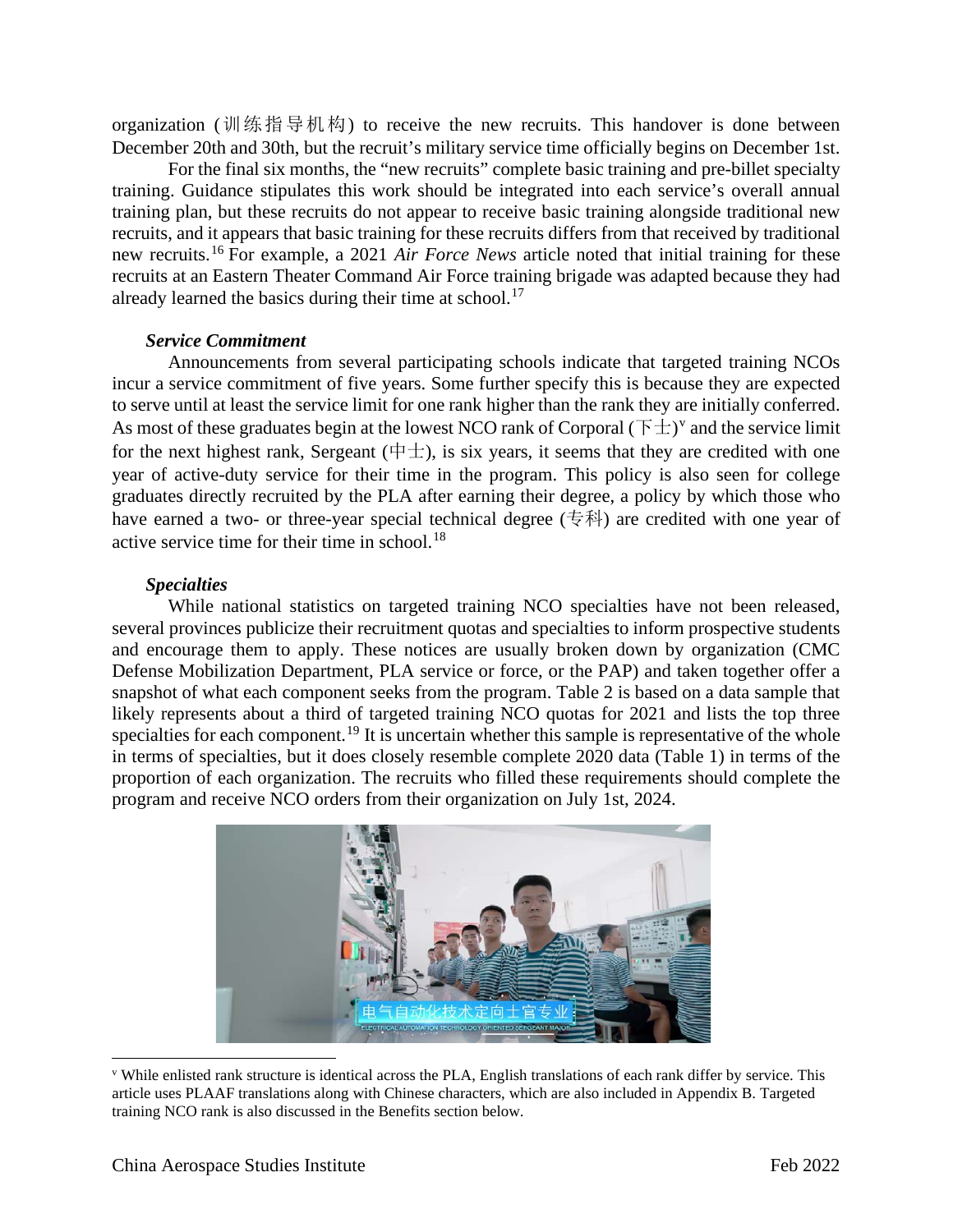organization (训练指导机构) to receive the new recruits. This handover is done between December 20th and 30th, but the recruit's military service time officially begins on December 1st.

For the final six months, the "new recruits" complete basic training and pre-billet specialty training. Guidance stipulates this work should be integrated into each service's overall annual training plan, but these recruits do not appear to receive basic training alongside traditional new recruits, and it appears that basic training for these recruits differs from that received by traditional new recruits.[16](#page-11-8) For example, a 2021 *Air Force News* article noted that initial training for these recruits at an Eastern Theater Command Air Force training brigade was adapted because they had already learned the basics during their time at school.<sup>[17](#page-11-9)</sup>

#### *Service Commitment*

Announcements from several participating schools indicate that targeted training NCOs incur a service commitment of five years. Some further specify this is because they are expected to serve until at least the service limit for one rank higher than the rank they are initially conferred. As most of these graduates begin at the lowest NCO rank of Corporal  $(\overline{F} \pm)^{v}$  $(\overline{F} \pm)^{v}$  $(\overline{F} \pm)^{v}$  and the service limit for the next highest rank, Sergeant ( $\pm$ ), is six years, it seems that they are credited with one year of active-duty service for their time in the program. This policy is also seen for college graduates directly recruited by the PLA after earning their degree, a policy by which those who have earned a two- or three-year special technical degree  $(\pm \pi)$  are credited with one year of active service time for their time in school.<sup>[18](#page-11-10)</sup>

### *Specialties*

While national statistics on targeted training NCO specialties have not been released, several provinces publicize their recruitment quotas and specialties to inform prospective students and encourage them to apply. These notices are usually broken down by organization (CMC Defense Mobilization Department, PLA service or force, or the PAP) and taken together offer a snapshot of what each component seeks from the program. Table 2 is based on a data sample that likely represents about a third of targeted training NCO quotas for 2021 and lists the top three specialties for each component.<sup>[19](#page-11-11)</sup> It is uncertain whether this sample is representative of the whole in terms of specialties, but it does closely resemble complete 2020 data (Table 1) in terms of the proportion of each organization. The recruits who filled these requirements should complete the program and receive NCO orders from their organization on July 1st, 2024.

<span id="page-3-0"></span>

<sup>v</sup> While enlisted rank structure is identical across the PLA, English translations of each rank differ by service. This article uses PLAAF translations along with Chinese characters, which are also included in Appendix B. Targeted training NCO rank is also discussed in the Benefits section below.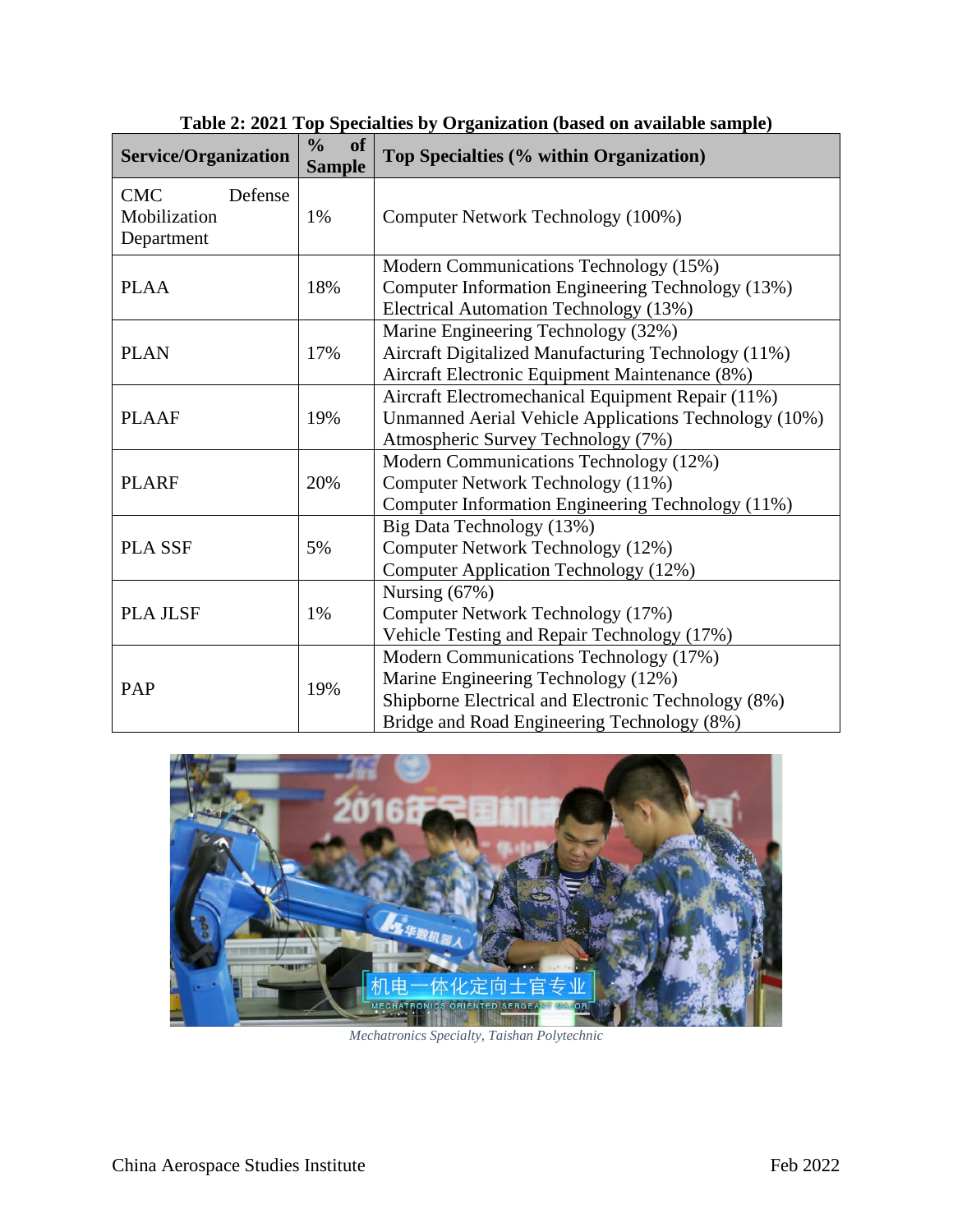| Service/Organization                                | $\frac{0}{0}$<br><b>of</b><br><b>Sample</b> | Top Specialties (% within Organization)                                                                                                                                             |
|-----------------------------------------------------|---------------------------------------------|-------------------------------------------------------------------------------------------------------------------------------------------------------------------------------------|
| <b>CMC</b><br>Defense<br>Mobilization<br>Department | 1%                                          | Computer Network Technology (100%)                                                                                                                                                  |
| <b>PLAA</b>                                         | 18%                                         | Modern Communications Technology (15%)<br>Computer Information Engineering Technology (13%)<br>Electrical Automation Technology (13%)                                               |
| <b>PLAN</b>                                         | 17%                                         | Marine Engineering Technology (32%)<br>Aircraft Digitalized Manufacturing Technology (11%)<br>Aircraft Electronic Equipment Maintenance (8%)                                        |
| <b>PLAAF</b>                                        | 19%                                         | Aircraft Electromechanical Equipment Repair (11%)<br>Unmanned Aerial Vehicle Applications Technology (10%)<br>Atmospheric Survey Technology (7%)                                    |
| <b>PLARF</b>                                        | 20%                                         | Modern Communications Technology (12%)<br>Computer Network Technology (11%)<br>Computer Information Engineering Technology (11%)                                                    |
| <b>PLA SSF</b>                                      | 5%                                          | Big Data Technology (13%)<br>Computer Network Technology (12%)<br><b>Computer Application Technology (12%)</b>                                                                      |
| <b>PLA JLSF</b>                                     | 1%                                          | Nursing $(67%)$<br>Computer Network Technology (17%)<br>Vehicle Testing and Repair Technology (17%)                                                                                 |
| PAP                                                 | 19%                                         | Modern Communications Technology (17%)<br>Marine Engineering Technology (12%)<br>Shipborne Electrical and Electronic Technology (8%)<br>Bridge and Road Engineering Technology (8%) |

**Table 2: 2021 Top Specialties by Organization (based on available sample)**



*Mechatronics Specialty, Taishan Polytechnic*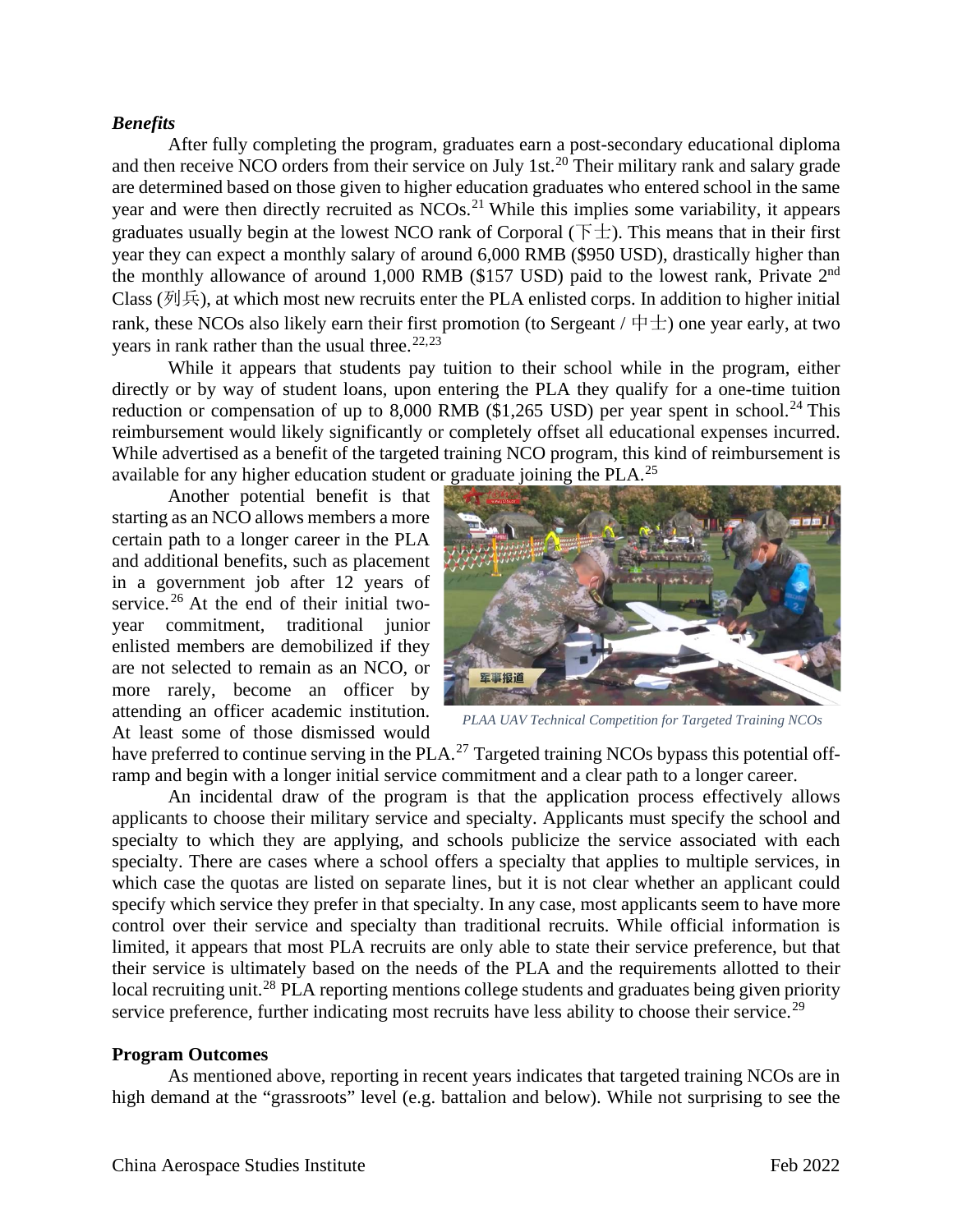#### *Benefits*

After fully completing the program, graduates earn a post-secondary educational diploma and then receive NCO orders from their service on July 1st.<sup>[20](#page-11-12)</sup> Their military rank and salary grade are determined based on those given to higher education graduates who entered school in the same year and were then directly recruited as NCOs.<sup>[21](#page-11-13)</sup> While this implies some variability, it appears graduates usually begin at the lowest NCO rank of Corporal ( $\pm$ ). This means that in their first year they can expect a monthly salary of around 6,000 RMB (\$950 USD), drastically higher than the monthly allowance of around 1,000 RMB (\$157 USD) paid to the lowest rank, Private 2<sup>nd</sup> Class (列兵), at which most new recruits enter the PLA enlisted corps. In addition to higher initial rank, these NCOs also likely earn their first promotion (to Sergeant  $/\not\pm\pm$ ) one year early, at two years in rank rather than the usual three.<sup>[22](#page-11-14),[23](#page-11-15)</sup>

While it appears that students pay tuition to their school while in the program, either directly or by way of student loans, upon entering the PLA they qualify for a one-time tuition reduction or compensation of up to 8,000 RMB (\$1,265 USD) per year spent in school.<sup>[24](#page-11-16)</sup> This reimbursement would likely significantly or completely offset all educational expenses incurred. While advertised as a benefit of the targeted training NCO program, this kind of reimbursement is available for any higher education student or graduate joining the PLA.<sup>[25](#page-11-17)</sup>

Another potential benefit is that starting as an NCO allows members a more certain path to a longer career in the PLA and additional benefits, such as placement in a government job after 12 years of service.<sup>[26](#page-11-18)</sup> At the end of their initial twoyear commitment, traditional junior enlisted members are demobilized if they are not selected to remain as an NCO, or more rarely, become an officer by attending an officer academic institution. At least some of those dismissed would



*PLAA UAV Technical Competition for Targeted Training NCOs*

have preferred to continue serving in the PLA.<sup>[27](#page-11-19)</sup> Targeted training NCOs bypass this potential offramp and begin with a longer initial service commitment and a clear path to a longer career.

An incidental draw of the program is that the application process effectively allows applicants to choose their military service and specialty. Applicants must specify the school and specialty to which they are applying, and schools publicize the service associated with each specialty. There are cases where a school offers a specialty that applies to multiple services, in which case the quotas are listed on separate lines, but it is not clear whether an applicant could specify which service they prefer in that specialty. In any case, most applicants seem to have more control over their service and specialty than traditional recruits. While official information is limited, it appears that most PLA recruits are only able to state their service preference, but that their service is ultimately based on the needs of the PLA and the requirements allotted to their local recruiting unit.<sup>[28](#page-11-20)</sup> PLA reporting mentions college students and graduates being given priority service preference, further indicating most recruits have less ability to choose their service.<sup>[29](#page-11-21)</sup>

#### **Program Outcomes**

As mentioned above, reporting in recent years indicates that targeted training NCOs are in high demand at the "grassroots" level (e.g. battalion and below). While not surprising to see the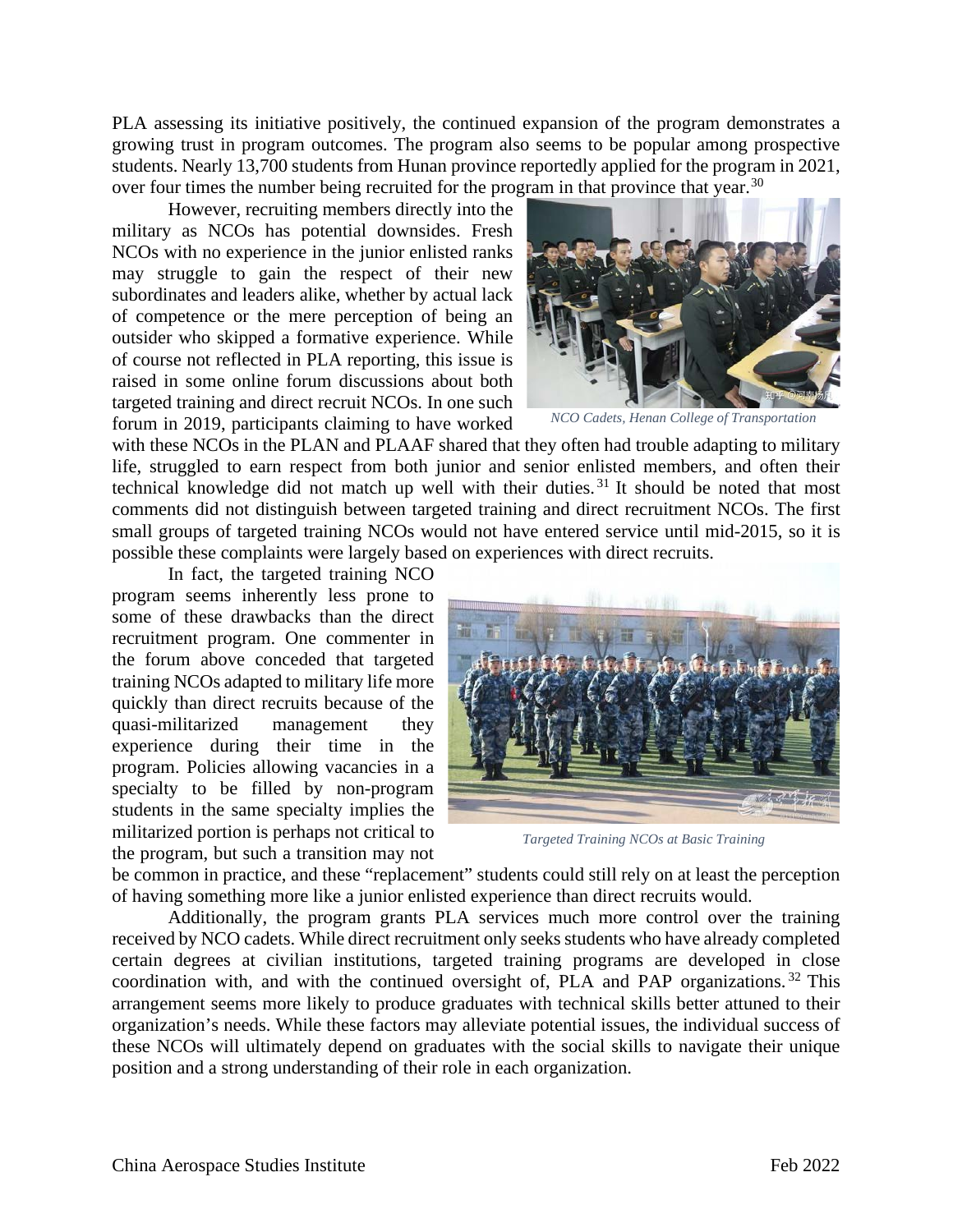PLA assessing its initiative positively, the continued expansion of the program demonstrates a growing trust in program outcomes. The program also seems to be popular among prospective students. Nearly 13,700 students from Hunan province reportedly applied for the program in 2021, over four times the number being recruited for the program in that province that year.<sup>[30](#page-11-22)</sup>

However, recruiting members directly into the military as NCOs has potential downsides. Fresh NCOs with no experience in the junior enlisted ranks may struggle to gain the respect of their new subordinates and leaders alike, whether by actual lack of competence or the mere perception of being an outsider who skipped a formative experience. While of course not reflected in PLA reporting, this issue is raised in some online forum discussions about both targeted training and direct recruit NCOs. In one such forum in 2019, participants claiming to have worked



*NCO Cadets, Henan College of Transportation*

with these NCOs in the PLAN and PLAAF shared that they often had trouble adapting to military life, struggled to earn respect from both junior and senior enlisted members, and often their technical knowledge did not match up well with their duties. [31](#page-11-23) It should be noted that most comments did not distinguish between targeted training and direct recruitment NCOs. The first small groups of targeted training NCOs would not have entered service until mid-2015, so it is possible these complaints were largely based on experiences with direct recruits.

In fact, the targeted training NCO program seems inherently less prone to some of these drawbacks than the direct recruitment program. One commenter in the forum above conceded that targeted training NCOs adapted to military life more quickly than direct recruits because of the quasi-militarized management they experience during their time in the program. Policies allowing vacancies in a specialty to be filled by non-program students in the same specialty implies the militarized portion is perhaps not critical to the program, but such a transition may not



*Targeted Training NCOs at Basic Training*

be common in practice, and these "replacement" students could still rely on at least the perception of having something more like a junior enlisted experience than direct recruits would.

Additionally, the program grants PLA services much more control over the training received by NCO cadets. While direct recruitment only seeks students who have already completed certain degrees at civilian institutions, targeted training programs are developed in close coordination with, and with the continued oversight of, PLA and PAP organizations.<sup>[32](#page-11-24)</sup> This arrangement seems more likely to produce graduates with technical skills better attuned to their organization's needs. While these factors may alleviate potential issues, the individual success of these NCOs will ultimately depend on graduates with the social skills to navigate their unique position and a strong understanding of their role in each organization.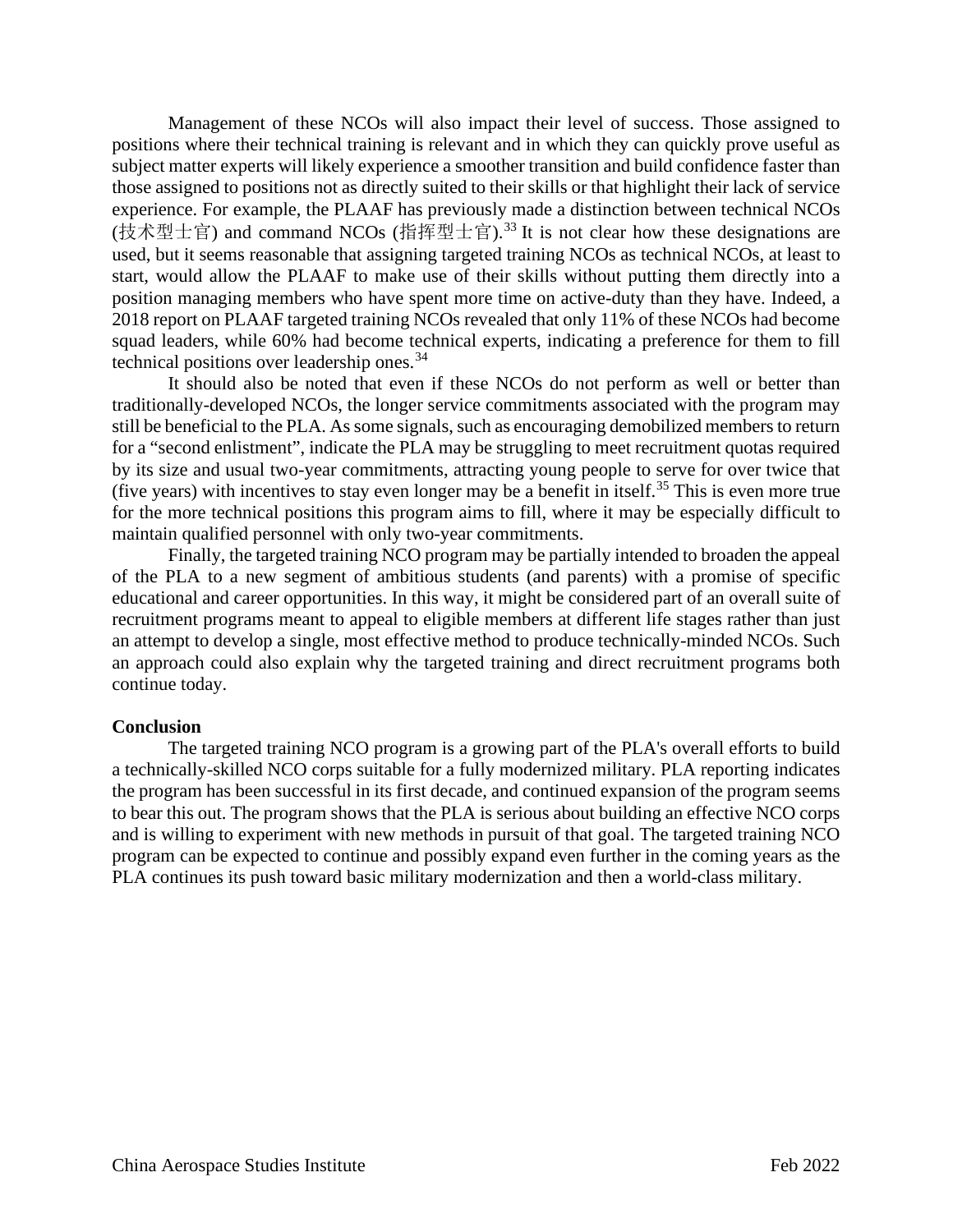Management of these NCOs will also impact their level of success. Those assigned to positions where their technical training is relevant and in which they can quickly prove useful as subject matter experts will likely experience a smoother transition and build confidence faster than those assigned to positions not as directly suited to their skills or that highlight their lack of service experience. For example, the PLAAF has previously made a distinction between technical NCOs (技术型士官) and command NCOs (指挥型士官).<sup>[33](#page-11-25)</sup> It is not clear how these designations are used, but it seems reasonable that assigning targeted training NCOs as technical NCOs, at least to start, would allow the PLAAF to make use of their skills without putting them directly into a position managing members who have spent more time on active-duty than they have. Indeed, a 2018 report on PLAAF targeted training NCOs revealed that only 11% of these NCOs had become squad leaders, while 60% had become technical experts, indicating a preference for them to fill technical positions over leadership ones.<sup>[34](#page-11-26)</sup>

It should also be noted that even if these NCOs do not perform as well or better than traditionally-developed NCOs, the longer service commitments associated with the program may still be beneficial to the PLA. As some signals, such as encouraging demobilized members to return for a "second enlistment", indicate the PLA may be struggling to meet recruitment quotas required by its size and usual two-year commitments, attracting young people to serve for over twice that (five years) with incentives to stay even longer may be a benefit in itself.<sup>[35](#page-11-27)</sup> This is even more true for the more technical positions this program aims to fill, where it may be especially difficult to maintain qualified personnel with only two-year commitments.

Finally, the targeted training NCO program may be partially intended to broaden the appeal of the PLA to a new segment of ambitious students (and parents) with a promise of specific educational and career opportunities. In this way, it might be considered part of an overall suite of recruitment programs meant to appeal to eligible members at different life stages rather than just an attempt to develop a single, most effective method to produce technically-minded NCOs. Such an approach could also explain why the targeted training and direct recruitment programs both continue today.

### **Conclusion**

The targeted training NCO program is a growing part of the PLA's overall efforts to build a technically-skilled NCO corps suitable for a fully modernized military. PLA reporting indicates the program has been successful in its first decade, and continued expansion of the program seems to bear this out. The program shows that the PLA is serious about building an effective NCO corps and is willing to experiment with new methods in pursuit of that goal. The targeted training NCO program can be expected to continue and possibly expand even further in the coming years as the PLA continues its push toward basic military modernization and then a world-class military.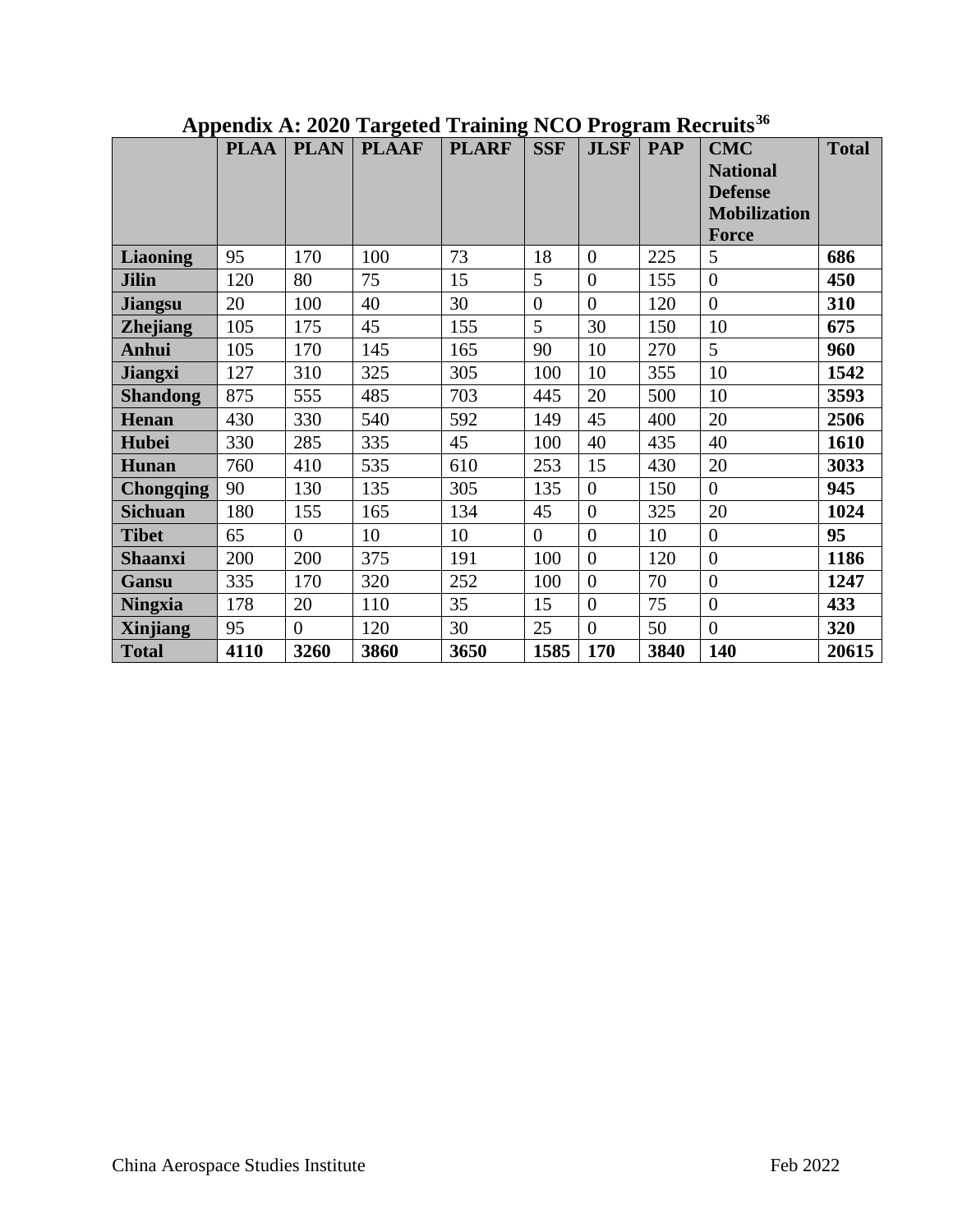|                  | <b>PLAA</b> | <b>PLAN</b>    | $\bf{C}$<br><b>PLAAF</b> | <b>PLARF</b> | <b>SSF</b> | $\bf{C}$<br><b>JLSF</b> | <b>PAP</b> | <b>CMC</b>          | <b>Total</b> |
|------------------|-------------|----------------|--------------------------|--------------|------------|-------------------------|------------|---------------------|--------------|
|                  |             |                |                          |              |            |                         |            | <b>National</b>     |              |
|                  |             |                |                          |              |            |                         |            | <b>Defense</b>      |              |
|                  |             |                |                          |              |            |                         |            | <b>Mobilization</b> |              |
|                  |             |                |                          |              |            |                         |            | <b>Force</b>        |              |
| <b>Liaoning</b>  | 95          | 170            | 100                      | 73           | 18         | $\overline{0}$          | 225        | 5                   | 686          |
| <b>Jilin</b>     | 120         | 80             | 75                       | 15           | 5          | $\overline{0}$          | 155        | $\overline{0}$      | 450          |
| <b>Jiangsu</b>   | 20          | 100            | 40                       | 30           | $\theta$   | $\overline{0}$          | 120        | $\overline{0}$      | 310          |
| <b>Zhejiang</b>  | 105         | 175            | 45                       | 155          | 5          | 30                      | 150        | 10                  | 675          |
| <b>Anhui</b>     | 105         | 170            | 145                      | 165          | 90         | 10                      | 270        | 5                   | 960          |
| <b>Jiangxi</b>   | 127         | 310            | 325                      | 305          | 100        | 10                      | 355        | 10                  | 1542         |
| <b>Shandong</b>  | 875         | 555            | 485                      | 703          | 445        | 20                      | 500        | 10                  | 3593         |
| Henan            | 430         | 330            | 540                      | 592          | 149        | 45                      | 400        | 20                  | 2506         |
| <b>Hubei</b>     | 330         | 285            | 335                      | 45           | 100        | 40                      | 435        | 40                  | 1610         |
| <b>Hunan</b>     | 760         | 410            | 535                      | 610          | 253        | 15                      | 430        | 20                  | 3033         |
| <b>Chongqing</b> | 90          | 130            | 135                      | 305          | 135        | $\boldsymbol{0}$        | 150        | $\overline{0}$      | 945          |
| <b>Sichuan</b>   | 180         | 155            | 165                      | 134          | 45         | $\overline{0}$          | 325        | 20                  | 1024         |
| <b>Tibet</b>     | 65          | $\overline{0}$ | 10                       | 10           | $\theta$   | $\overline{0}$          | 10         | $\overline{0}$      | 95           |
| <b>Shaanxi</b>   | 200         | 200            | 375                      | 191          | 100        | $\overline{0}$          | 120        | $\overline{0}$      | 1186         |
| Gansu            | 335         | 170            | 320                      | 252          | 100        | $\overline{0}$          | 70         | $\boldsymbol{0}$    | 1247         |
| <b>Ningxia</b>   | 178         | 20             | 110                      | 35           | 15         | $\boldsymbol{0}$        | 75         | $\boldsymbol{0}$    | 433          |
| <b>Xinjiang</b>  | 95          | $\overline{0}$ | 120                      | 30           | 25         | $\overline{0}$          | 50         | $\overline{0}$      | 320          |
| <b>Total</b>     | 4110        | 3260           | 3860                     | 3650         | 1585       | 170                     | 3840       | 140                 | 20615        |

# **Appendix A: 2020 Targeted Training NCO Program Recruits[36](#page-11-28)**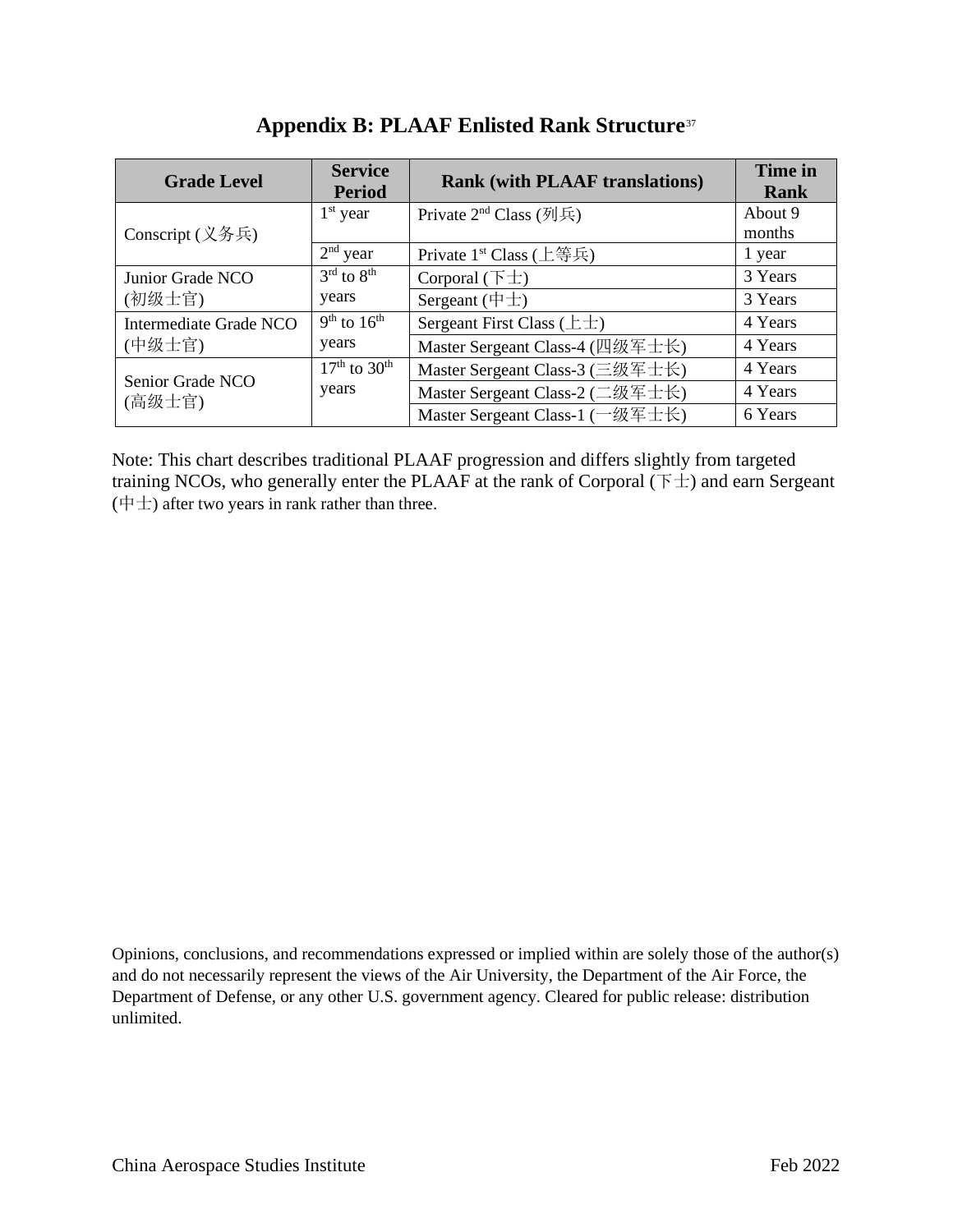| <b>Grade Level</b>         | <b>Service</b><br><b>Period</b> | <b>Rank (with PLAAF translations)</b> | Time in<br><b>Rank</b> |
|----------------------------|---------------------------------|---------------------------------------|------------------------|
| Conscript (义务兵)            | $1st$ year                      | Private $2nd$ Class (列兵)              | About 9<br>months      |
|                            | $2nd$ year                      | Private $1st$ Class (上等兵)             | 1 year                 |
| Junior Grade NCO           | $3rd$ to $8th$                  | Corporal $(\overline{F} \pm)$         | 3 Years                |
| (初级士官)                     | years                           | Sergeant $(\pm \pm)$                  | 3 Years                |
| Intermediate Grade NCO     | $9th$ to $16th$                 | Sergeant First Class $(\pm \pm)$      | 4 Years                |
| (中级士官)                     | years                           | Master Sergeant Class-4 (四级军士长)       | 4 Years                |
|                            | $17th$ to $30th$                | Master Sergeant Class-3 (三级军士长)       | 4 Years                |
| Senior Grade NCO<br>(高级士官) | years                           | Master Sergeant Class-2 (二级军士长)       | 4 Years                |
|                            |                                 | Master Sergeant Class-1 (一级军士长)       | 6 Years                |

## **Appendix B: PLAAF Enlisted Rank Structure**[37](#page-11-29)

Note: This chart describes traditional PLAAF progression and differs slightly from targeted training NCOs, who generally enter the PLAAF at the rank of Corporal  $(F \pm)$  and earn Sergeant  $(\nleftrightarrow$  after two years in rank rather than three.

Opinions, conclusions, and recommendations expressed or implied within are solely those of the author(s) and do not necessarily represent the views of the Air University, the Department of the Air Force, the Department of Defense, or any other U.S. government agency. Cleared for public release: distribution unlimited.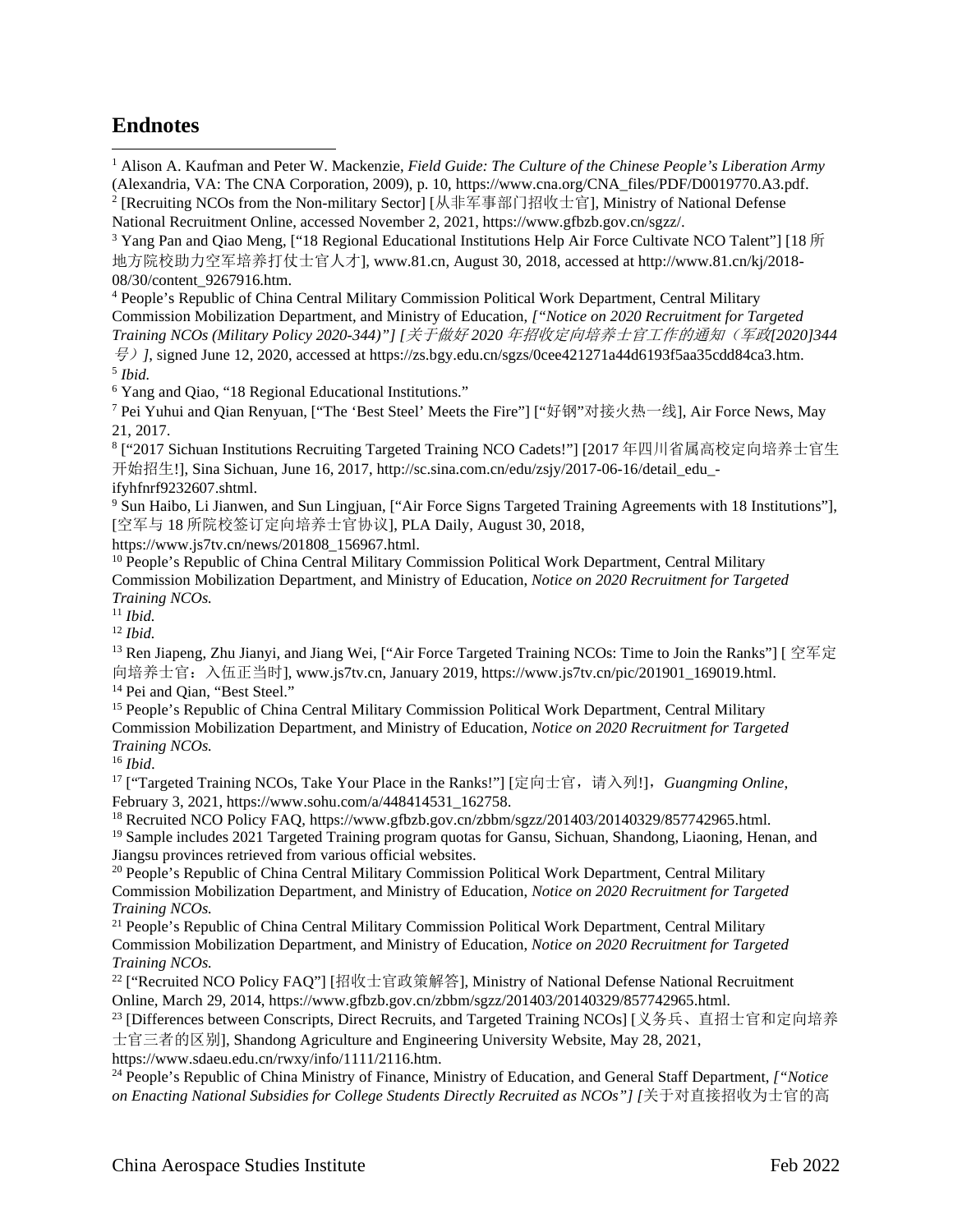## **Endnotes**

<span id="page-10-0"></span><sup>1</sup> Alison A. Kaufman and Peter W. Mackenzie, *Field Guide: The Culture of the Chinese People's Liberation Army* (Alexandria, VA: The CNA Corporation, 2009), p. 10, https://www.cna.org/CNA\_files/PDF/D0019770.A3.pdf.

<span id="page-10-3"></span><sup>4</sup> People's Republic of China Central Military Commission Political Work Department, Central Military Commission Mobilization Department, and Ministry of Education, *["Notice on 2020 Recruitment for Targeted Training NCOs (Military Policy 2020-344)"] [*关于做好 *2020* 年招收定向培养士官工作的通知(军政*[2020]344*

号)*]*, signed June 12, 2020, accessed at https://zs.bgy.edu.cn/sgzs/0cee421271a44d6193f5aa35cdd84ca3.htm. <sup>5</sup> *Ibid.*

<span id="page-10-5"></span><span id="page-10-4"></span><sup>6</sup> Yang and Qiao, "18 Regional Educational Institutions."

<span id="page-10-6"></span><sup>7</sup> Pei Yuhui and Qian Renyuan, ["The 'Best Steel' Meets the Fire"] ["好钢"对接火热一线], Air Force News, May 21, 2017.

<sup>8</sup> ["2017 Sichuan Institutions Recruiting Targeted Training NCO Cadets!"] [2017 年四川省属高校定向培养士官生 开始招生!], Sina Sichuan, June 16, 2017, http://sc.sina.com.cn/edu/zsjy/2017-06-16/detail\_edu\_ifyhfnrf9232607.shtml.

<sup>9</sup> Sun Haibo, Li Jianwen, and Sun Lingjuan, ["Air Force Signs Targeted Training Agreements with 18 Institutions"], [空军与 18 所院校签订定向培养士官协议], PLA Daily, August 30, 2018,

https://www.js7tv.cn/news/201808\_156967.html.

<sup>10</sup> People's Republic of China Central Military Commission Political Work Department, Central Military Commission Mobilization Department, and Ministry of Education, *Notice on 2020 Recruitment for Targeted Training NCOs.*

<sup>11</sup> *Ibid.*

<sup>12</sup> *Ibid.*

<sup>13</sup> Ren Jiapeng, Zhu Jianyi, and Jiang Wei, ["Air Force Targeted Training NCOs: Time to Join the Ranks"] [ 空军定 向培养士官:入伍正当时], www.js7tv.cn, January 2019, https://www.js7tv.cn/pic/201901\_169019.html. <sup>14</sup> Pei and Qian, "Best Steel."

<sup>15</sup> People's Republic of China Central Military Commission Political Work Department, Central Military Commission Mobilization Department, and Ministry of Education, *Notice on 2020 Recruitment for Targeted Training NCOs.*

<sup>16</sup> *Ibid*.

<sup>17</sup> ["Targeted Training NCOs, Take Your Place in the Ranks!"] [定向士官,请入列!],*Guangming Online*, February 3, 2021, https://www.sohu.com/a/448414531\_162758.

<sup>18</sup> Recruited NCO Policy FAQ, https://www.gfbzb.gov.cn/zbbm/sgzz/201403/20140329/857742965.html.

<sup>19</sup> Sample includes 2021 Targeted Training program quotas for Gansu, Sichuan, Shandong, Liaoning, Henan, and Jiangsu provinces retrieved from various official websites.

<sup>20</sup> People's Republic of China Central Military Commission Political Work Department, Central Military Commission Mobilization Department, and Ministry of Education, *Notice on 2020 Recruitment for Targeted Training NCOs.*

<sup>21</sup> People's Republic of China Central Military Commission Political Work Department, Central Military Commission Mobilization Department, and Ministry of Education, *Notice on 2020 Recruitment for Targeted Training NCOs.*

 $22$  ["Recruited NCO Policy FAQ"] [招收士官政策解答], Ministry of National Defense National Recruitment Online, March 29, 2014, https://www.gfbzb.gov.cn/zbbm/sgzz/201403/20140329/857742965.html.

<sup>23</sup> [Differences between Conscripts, Direct Recruits, and Targeted Training NCOs] [义务兵、直招士官和定向培养 士官三者的区别], Shandong Agriculture and Engineering University Website, May 28, 2021,

https://www.sdaeu.edu.cn/rwxy/info/1111/2116.htm.

<sup>24</sup> People's Republic of China Ministry of Finance, Ministry of Education, and General Staff Department, *["Notice on Enacting National Subsidies for College Students Directly Recruited as NCOs"] [*关于对直接招收为士官的高

<span id="page-10-1"></span><sup>2</sup> [Recruiting NCOs from the Non-military Sector] [从非军事部门招收士官], Ministry of National Defense National Recruitment Online, accessed November 2, 2021, https://www.gfbzb.gov.cn/sgzz/.

<span id="page-10-2"></span><sup>&</sup>lt;sup>3</sup> Yang Pan and Qiao Meng, ["18 Regional Educational Institutions Help Air Force Cultivate NCO Talent"] [18  $\hbar$ ] 地方院校助力空军培养打仗士官人才], www.81.cn, August 30, 2018, accessed at http://www.81.cn/kj/2018- 08/30/content\_9267916.htm.